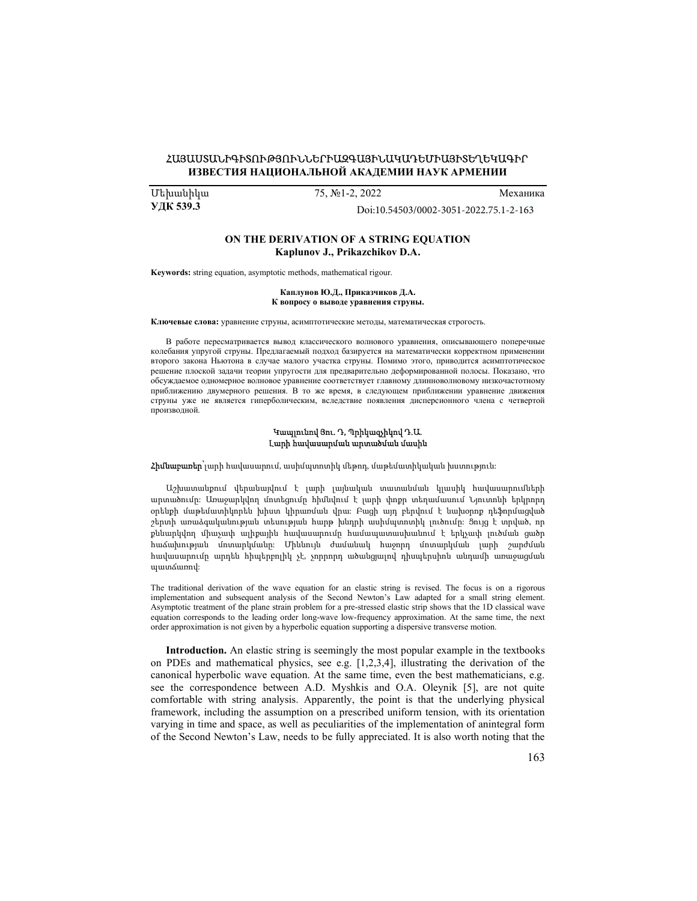# ՀԱՅԱՍՏԱՆԻԳԻՏՈՒԹՅՈՒՆՆԵՐԻԱԶԳԱՅԻՆԱԿԱԴԵՄԻԱՅԻՏԵՂԵԿԱԳԻՐ ИЗВЕСТИЯ НАЦИОНАЛЬНОЙ АКАДЕМИИ НАУК АРМЕНИИ

УДК 539.3

Մեխանիկա 75, №1-2, 2022 Механика

Doi[:10.54503/0002-3051-2022.75.1-2-163](https://doi.org/10.54503/0002-3051-2022.75.1-2-163)

### ON THE DERIVATION OF A STRING EQUATION Kaplunov J., Prikazchikov D.A.

Keywords: string equation, asymptotic methods, mathematical rigour.

#### Каплунов Ю.Д., Приказчиков Д.А. К вопросу о выводе уравнения струны.

Ключевые слова: уравнение струны, асимптотические методы, математическая строгость.

В работе пересматривается вывод классического волнового уравнения, описывающего поперечные колебания упругой струны. Предлагаемый подход базируется на математически корректном применении второго закона Ньютона в случае малого участка струны. Помимо этого, приводится асимптотическое решение плоской задачи теории упругости для предварительно деформированной полосы. Показано, что обсуждаемое одномерное волновое уравнение соответствует главному длинноволновому низкочастотному приближению двумерного решения. В то же время, в следующем приближении уравнение движения струны уже не является гиперболическим, вследствие появления дисперсионного члена с четвертой производной.

#### Կապլունով Յու. Դ, Պրիկազչիկով Դ.Ա. Լարի հավասարման արտածման մասին

Հիմնաբառեր՝լարի հավասարում, ասիմպտոտիկ մեթոդ, մաթեմատիկական խստություն:

Աշխատանքում վերանայվում է լարի լայնական տատանման կլասիկ հավասարումների արտածումը: Առաջարկվող մոտեցումը հիմնվում է լարի փոքր տեղամասում Նյուտոնի երկրորդ օրենքի մաթեմատիկորեն խիստ կիրառման վրա: Բացի այդ բերվում է նախօրոք դեֆորմացված շերտի առաձգականության տեսության հարթ խնդրի ասիմպտոտիկ լուծումը: Ցույց է տրված, որ քննարկվող միաչափ ալիքային հավասարումը համապատասխանում է երկչափ լուծման ցածր հաճախության մոտարկմանը: Միևնույն ժամանակ հաջորդ մոտարկման լարի շարժման հավասարումը արդեն հիպերբոլիկ չէ, չորրորդ ածանցյալով դիսպերսիոն անդամի առաջացման պատճառով:

The traditional derivation of the wave equation for an elastic string is revised. The focus is on a rigorous implementation and subsequent analysis of the Second Newton's Law adapted for a small string element. Asymptotic treatment of the plane strain problem for a pre-stressed elastic strip shows that the 1D classical wave equation corresponds to the leading order long-wave low-frequency approximation. At the same time, the next order approximation is not given by a hyperbolic equation supporting a dispersive transverse motion.

Introduction. An elastic string is seemingly the most popular example in the textbooks on PDEs and mathematical physics, see e.g. [1,2,3,4], illustrating the derivation of the canonical hyperbolic wave equation. At the same time, even the best mathematicians, e.g. see the correspondence between A.D. Myshkis and O.A. Oleynik [5], are not quite comfortable with string analysis. Apparently, the point is that the underlying physical framework, including the assumption on a prescribed uniform tension, with its orientation varying in time and space, as well as peculiarities of the implementation of anintegral form of the Second Newton's Law, needs to be fully appreciated. It is also worth noting that the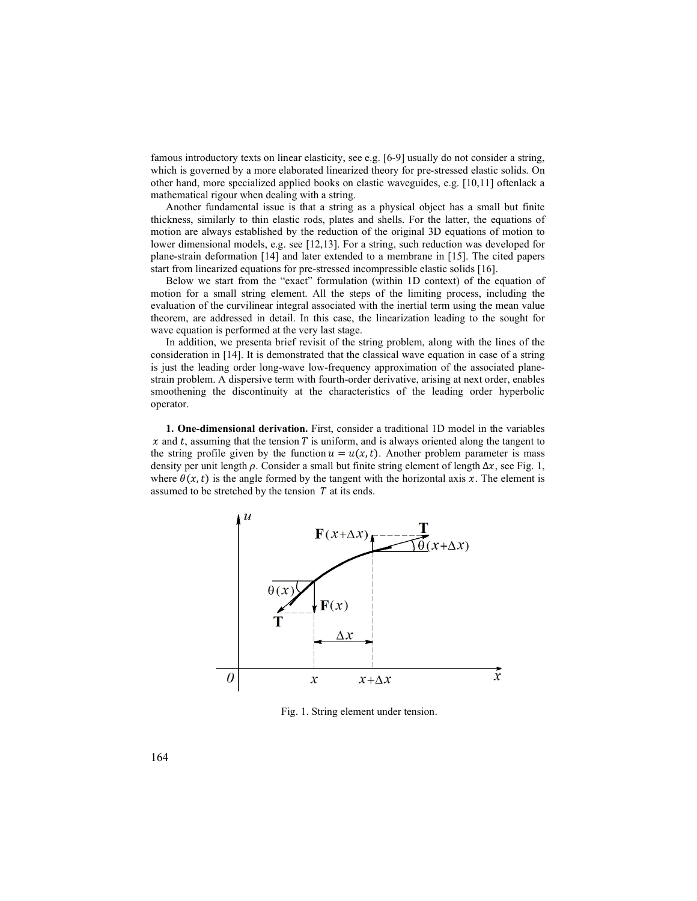famous introductory texts on linear elasticity, see e.g. [6-9] usually do not consider a string, which is governed by a more elaborated linearized theory for pre-stressed elastic solids. On other hand, more specialized applied books on elastic waveguides, e.g. [10,11] oftenlack a mathematical rigour when dealing with a string.

Another fundamental issue is that a string as a physical object has a small but finite thickness, similarly to thin elastic rods, plates and shells. For the latter, the equations of motion are always established by the reduction of the original 3D equations of motion to lower dimensional models, e.g. see [12,13]. For a string, such reduction was developed for plane-strain deformation [14] and later extended to a membrane in [15]. The cited papers start from linearized equations for pre-stressed incompressible elastic solids [16].

Below we start from the "exact" formulation (within 1D context) of the equation of motion for a small string element. All the steps of the limiting process, including the evaluation of the curvilinear integral associated with the inertial term using the mean value theorem, are addressed in detail. In this case, the linearization leading to the sought for wave equation is performed at the very last stage.

In addition, we presenta brief revisit of the string problem, along with the lines of the consideration in [14]. It is demonstrated that the classical wave equation in case of a string is just the leading order long-wave low-frequency approximation of the associated planestrain problem. A dispersive term with fourth-order derivative, arising at next order, enables smoothening the discontinuity at the characteristics of the leading order hyperbolic operator.

1. One-dimensional derivation. First, consider a traditional 1D model in the variables  $x$  and t, assuming that the tension T is uniform, and is always oriented along the tangent to the string profile given by the function  $u = u(x,t)$ . Another problem parameter is mass density per unit length  $\rho$ . Consider a small but finite string element of length  $\Delta x$ , see Fig. 1, where  $\theta(x,t)$  is the angle formed by the tangent with the horizontal axis x. The element is assumed to be stretched by the tension  $T$  at its ends.



Fig. 1. String element under tension.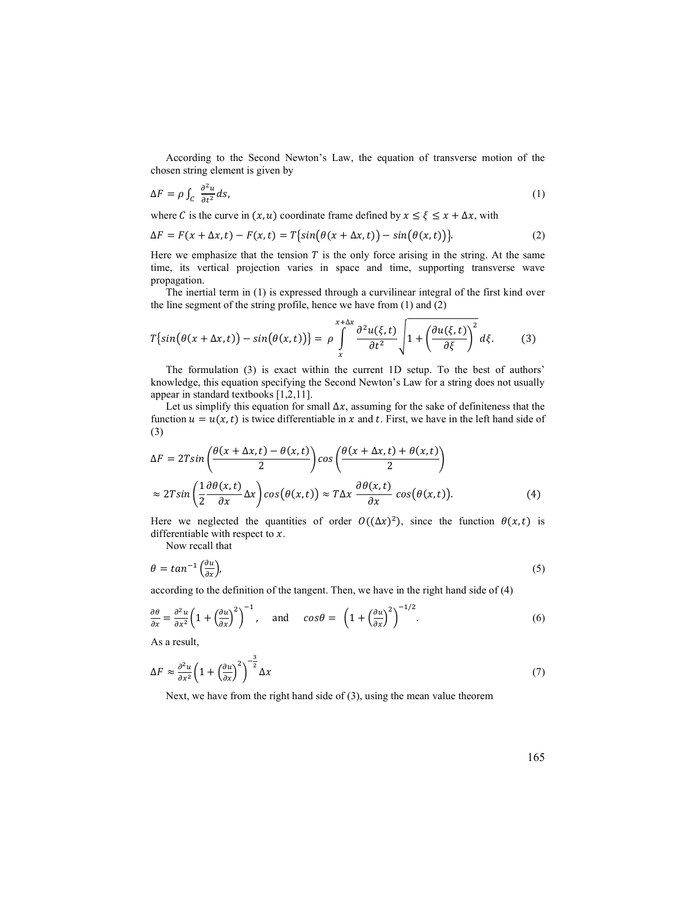According to the Second Newton's Law, the equation of transverse motion of the chosen string element is given by

$$
\Delta F = \rho \int_C \frac{\partial^2 u}{\partial t^2} ds,\tag{1}
$$

where C is the curve in  $(x, u)$  coordinate frame defined by  $x \le \xi \le x + \Delta x$ , with

$$
\Delta F = F(x + \Delta x, t) - F(x, t) = T\{sin(\theta(x + \Delta x, t)) - sin(\theta(x, t))\}.
$$
\n(2)

Here we emphasize that the tension  $T$  is the only force arising in the string. At the same time, its vertical projection varies in space and time, supporting transverse wave propagation.

The inertial term in (1) is expressed through a curvilinear integral of the first kind over the line segment of the string profile, hence we have from (1) and (2)

$$
T\{\sin(\theta(x+\Delta x,t)) - \sin(\theta(x,t))\} = \rho \int_{x}^{x+\Delta x} \frac{\partial^2 u(\xi,t)}{\partial t^2} \sqrt{1 + \left(\frac{\partial u(\xi,t)}{\partial \xi}\right)^2} d\xi. \tag{3}
$$

The formulation (3) is exact within the current 1D setup. To the best of authors' knowledge, this equation specifying the Second Newton's Law for a string does not usually appear in standard textbooks [1,2,11].

Let us simplify this equation for small  $\Delta x$ , assuming for the sake of definiteness that the function  $u = u(x,t)$  is twice differentiable in x and t. First, we have in the left hand side of (3)

$$
\Delta F = 2T \sin \left( \frac{\theta(x + \Delta x, t) - \theta(x, t)}{2} \right) \cos \left( \frac{\theta(x + \Delta x, t) + \theta(x, t)}{2} \right)
$$
  

$$
\approx 2T \sin \left( \frac{1}{2} \frac{\partial \theta(x, t)}{\partial x} \Delta x \right) \cos (\theta(x, t)) \approx T \Delta x \frac{\partial \theta(x, t)}{\partial x} \cos (\theta(x, t)).
$$
 (4)

Here we neglected the quantities of order  $O((\Delta x)^2)$ , since the function  $\theta(x,t)$  is differentiable with respect to  $x$ .

Now recall that

$$
\theta = \tan^{-1} \left( \frac{\partial u}{\partial x} \right),\tag{5}
$$

according to the definition of the tangent. Then, we have in the right hand side of (4)

$$
\frac{\partial \theta}{\partial x} = \frac{\partial^2 u}{\partial x^2} \left( 1 + \left( \frac{\partial u}{\partial x} \right)^2 \right)^{-1}, \quad \text{and} \quad \cos \theta = \left( 1 + \left( \frac{\partial u}{\partial x} \right)^2 \right)^{-1/2}.
$$
 (6)

As a result,

$$
\Delta F \approx \frac{\partial^2 u}{\partial x^2} \left( 1 + \left( \frac{\partial u}{\partial x} \right)^2 \right)^{-\frac{3}{2}} \Delta x \tag{7}
$$

Next, we have from the right hand side of (3), using the mean value theorem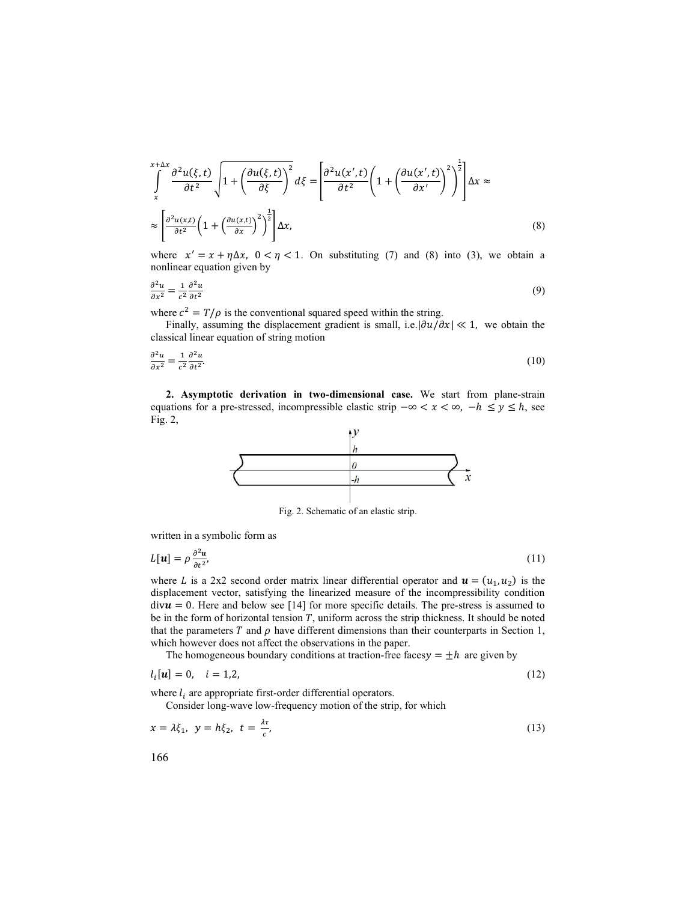$$
\int_{x}^{x+\Delta x} \frac{\partial^2 u(\xi, t)}{\partial t^2} \sqrt{1 + \left(\frac{\partial u(\xi, t)}{\partial \xi}\right)^2} d\xi = \left[\frac{\partial^2 u(x', t)}{\partial t^2} \left(1 + \left(\frac{\partial u(x', t)}{\partial x'}\right)^2\right)^{\frac{1}{2}}\right] \Delta x \approx
$$
\n
$$
\approx \left[\frac{\partial^2 u(x, t)}{\partial t^2} \left(1 + \left(\frac{\partial u(x, t)}{\partial x}\right)^2\right)^{\frac{1}{2}}\right] \Delta x,\tag{8}
$$

where  $x' = x + \eta \Delta x$ ,  $0 < \eta < 1$ . On substituting (7) and (8) into (3), we obtain a nonlinear equation given by

$$
\frac{\partial^2 u}{\partial x^2} = \frac{1}{c^2} \frac{\partial^2 u}{\partial t^2}
$$
 (9)

where  $c^2 = T/\rho$  is the conventional squared speed within the string.

Finally, assuming the displacement gradient is small, i.e.  $|\partial u/\partial x| \ll 1$ , we obtain the classical linear equation of string motion

$$
\frac{\partial^2 u}{\partial x^2} = \frac{1}{c^2} \frac{\partial^2 u}{\partial t^2}.
$$
\n(10)

2. Asymptotic derivation in two-dimensional case. We start from plane-strain equations for a pre-stressed, incompressible elastic strip  $-\infty < x < \infty$ ,  $-h \le y \le h$ , see Fig. 2,



Fig. 2. Schematic of an elastic strip.

written in a symbolic form as

$$
L[\mathbf{u}] = \rho \frac{\partial^2 \mathbf{u}}{\partial t^2},\tag{11}
$$

where L is a 2x2 second order matrix linear differential operator and  $\mathbf{u} = (u_1, u_2)$  is the displacement vector, satisfying the linearized measure of the incompressibility condition  $div**u** = 0$ . Here and below see [14] for more specific details. The pre-stress is assumed to be in the form of horizontal tension  $T$ , uniform across the strip thickness. It should be noted that the parameters  $T$  and  $\rho$  have different dimensions than their counterparts in Section 1, which however does not affect the observations in the paper.

The homogeneous boundary conditions at traction-free faces  $y = \pm h$  are given by

$$
l_i[\mathbf{u}] = 0, \quad i = 1, 2, \tag{12}
$$

where  $l_i$  are appropriate first-order differential operators.

Consider long-wave low-frequency motion of the strip, for which

$$
x = \lambda \xi_1, \quad y = h \xi_2, \quad t = \frac{\lambda \tau}{c}, \tag{13}
$$

166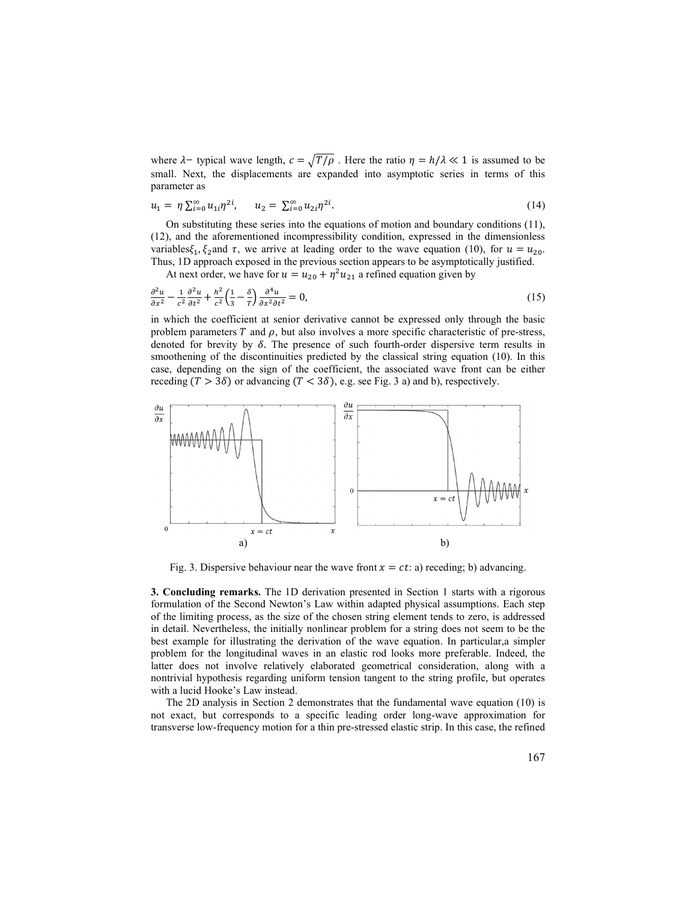where  $\lambda$ – typical wave length,  $c = \sqrt{T/\rho}$ . Here the ratio  $\eta = h/\lambda \ll 1$  is assumed to be small. Next, the displacements are expanded into asymptotic series in terms of this parameter as<br>  $u_1 = \eta \sum_{i=0}^n u_{1i} \eta^{2i}$ ,  $u_$ small. Next, the displacements are expanded into asymptotic series in terms of this parameter as

$$
u_1 = \eta \sum_{i=0}^{\infty} u_{1i} \eta^{2i}, \qquad u_2 = \sum_{i=0}^{\infty} u_{2i} \eta^{2i}.
$$
 (14)

where  $\lambda$ – typical wave length,  $c = \sqrt{T/\rho}$ . Here the ratio  $\eta = h/\lambda \ll 1$  is assumed to be<br>small. Next, the displacements are expanded into asymptotic series in terms of this<br>parameter as<br> $u_1 = \eta \sum_{i=0}^{\infty} u_{i,l} \eta^{2i}$ , typical wave length,  $c = \sqrt{T/\rho}$ . Here the ratio  $\eta = h/\lambda \ll 1$  is assumed to be<br>xt, the displacements are expanded into asymptotic series in terms of this<br>as<br> $\frac{\alpha}{1-\omega} u_{11} \eta^{2l}$ ,  $u_2 = \sum_{i=0}^{\infty} u_{21} \eta^{2l}$ . (14)<br>bstit On substituting these series into the equations of motion and boundary conditions (11), (12), and the aforementioned incompressibility condition, expressed in the dimensionless variables $\xi_1$ ,  $\xi_2$  and  $\tau$ , we arrive at leading order to the wave equation (10), for  $u = u_{20}$ .<br>Thus, 1D approach exposed in the previous section appears to be asymptotically justified. stypical wave length,  $c = \sqrt{T/\rho}$ . Here the ratio  $\eta = h/\lambda \ll 1$  is assumed to be<br>t, t, the displacements are expanded into asymptotic series in terms of this<br>is<br> $u_{\pm 0} u_{1i} \eta^{2i}$ ,  $u_2 = \sum_{i=0}^{\infty} u_{2i} \eta^{2i}$ . (14)<br>titu where  $\lambda$ - typical wave length,  $c = \sqrt{T/\rho}$ . Here the ratio  $\eta = h/\lambda \ll 1$  is assumed to be<br>small. Next, the displacements are expanded into asymptotic series in terms of this<br>parameter as<br> $u_1 = \eta \sum_{i=0}^{\infty} u_{1i} \eta^{2i}$ , ere  $\lambda$ - typical wave length,  $c = \sqrt{T/\rho}$ . Here the ratio  $\eta = h/\lambda \ll 1$  is assumed to be<br>all. Il. Next, the displacements are expanded into asymptotic series in terms of this<br>ameter as<br> $\eta \sum_{i=0}^{\infty} u_{i1} \eta^{2i}$ ,  $u_2 = \sum_{$ 

At next order, we have for  $u = u_{20} + \eta^2 u_{21}$  a refined equation given by

$$
\frac{\partial^2 u}{\partial x^2} - \frac{1}{c^2} \frac{\partial^2 u}{\partial t^2} + \frac{h^2}{c^2} \left(\frac{1}{3} - \frac{\delta}{T}\right) \frac{\partial^4 u}{\partial x^2 \partial t^2} = 0,
$$
\n(15)

ength,  $c = \sqrt{T/\rho}$ . Here the ratio  $\eta = h/\lambda \ll 1$  is assumed to be<br>cements are expanded into asymptotic series in terms of this<br> $t_2 = \sum_{i=0}^{\infty} u_{2i}\eta^{2i}$ . (14)<br>series into the equations of motion and boundary conditions ( in which the coefficient at senior derivative cannot be expressed only through the basic problem parameters  $T$  and  $\rho$ , but also involves a more specific characteristic of pre-stress, denoted for brevity by  $\delta$ . The presence of such fourth-order dispersive term results in smoothening of the discontinuities predicted by the classical string equation (10). In this case, depending on the sign of the coefficient, the associated wave front can be either



3. Concluding remarks. The 1D derivation presented in Section 1 starts with a rigorous formulation of the Second Newton's Law within adapted physical assumptions. Each step of the limiting process, as the size of the chosen string element tends to zero, is addressed in detail. Nevertheless, the initially nonlinear problem for a string does not seem to be the best example for illustrating the derivation of the wave equation. In particular,a simpler problem for the longitudinal waves in an elastic rod looks more preferable. Indeed, the latter does not involve relatively elaborated geometrical consideration, along with a nontrivial hypothesis regarding uniform tension tangent to the string profile, but operates with a lucid Hooke's Law instead.

The 2D analysis in Section 2 demonstrates that the fundamental wave equation (10) is not exact, but corresponds to a specific leading order long-wave approximation for transverse low-frequency motion for a thin pre-stressed elastic strip. In this case, the refined